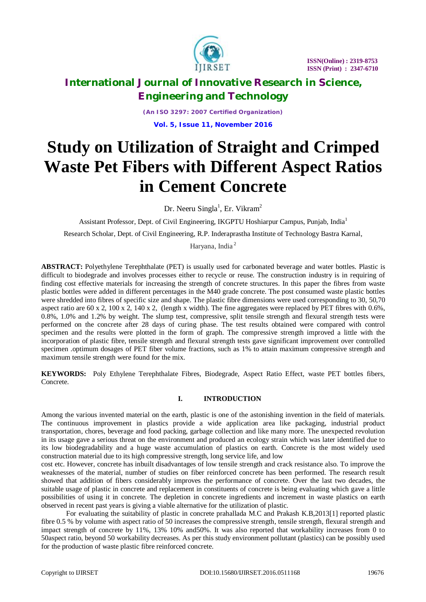

*(An ISO 3297: 2007 Certified Organization)* **Vol. 5, Issue 11, November 2016**

# **Study on Utilization of Straight and Crimped Waste Pet Fibers with Different Aspect Ratios in Cement Concrete**

Dr. Neeru Singla<sup>1</sup>, Er. Vikram<sup>2</sup>

Assistant Professor, Dept. of Civil Engineering, IKGPTU Hoshiarpur Campus, Punjab, India<sup>1</sup>

Research Scholar, Dept. of Civil Engineering, R.P. Inderaprastha Institute of Technology Bastra Karnal,

Haryana, India <sup>2</sup>

**ABSTRACT:** Polyethylene Terephthalate (PET) is usually used for carbonated beverage and water bottles. Plastic is difficult to biodegrade and involves processes either to recycle or reuse. The construction industry is in requiring of finding cost effective materials for increasing the strength of concrete structures. In this paper the fibres from waste plastic bottles were added in different percentages in the M40 grade concrete. The post consumed waste plastic bottles were shredded into fibres of specific size and shape. The plastic fibre dimensions were used corresponding to 30, 50,70 aspect ratio are 60 x 2, 100 x 2, 140 x 2, (length x width). The fine aggregates were replaced by PET fibres with 0.6%, 0.8%, 1.0% and 1.2% by weight. The slump test, compressive, split tensile strength and flexural strength tests were performed on the concrete after 28 days of curing phase. The test results obtained were compared with control specimen and the results were plotted in the form of graph. The compressive strength improved a little with the incorporation of plastic fibre, tensile strength and flexural strength tests gave significant improvement over controlled specimen .optimum dosages of PET fiber volume fractions, such as 1% to attain maximum compressive strength and maximum tensile strength were found for the mix.

**KEYWORDS:** Poly Ethylene Terephthalate Fibres, Biodegrade, Aspect Ratio Effect, waste PET bottles fibers, Concrete.

### **I. INTRODUCTION**

Among the various invented material on the earth, plastic is one of the astonishing invention in the field of materials. The continuous improvement in plastics provide a wide application area like packaging, industrial product transportation, chores, beverage and food packing, garbage collection and like many more. The unexpected revolution in its usage gave a serious threat on the environment and produced an ecology strain which was later identified due to its low biodegradability and a huge waste accumulation of plastics on earth. Concrete is the most widely used construction material due to its high compressive strength, long service life, and low

cost etc. However, concrete has inbuilt disadvantages of low tensile strength and crack resistance also. To improve the weaknesses of the material, number of studies on fiber reinforced concrete has been performed. The research result showed that addition of fibers considerably improves the performance of concrete. Over the last two decades, the suitable usage of plastic in concrete and replacement in constituents of concrete is being evaluating which gave a little possibilities of using it in concrete. The depletion in concrete ingredients and increment in waste plastics on earth observed in recent past years is giving a viable alternative for the utilization of plastic.

 For evaluating the suitability of plastic in concrete prahallada M.C and Prakash K.B,2013[1] reported plastic fibre 0.5 % by volume with aspect ratio of 50 increases the compressive strength, tensile strength, flexural strength and impact strength of concrete by 11%, 13% 10% and50%. It was also reported that workability increases from 0 to 50aspect ratio, beyond 50 workability decreases. As per this study environment pollutant (plastics) can be possibly used for the production of waste plastic fibre reinforced concrete.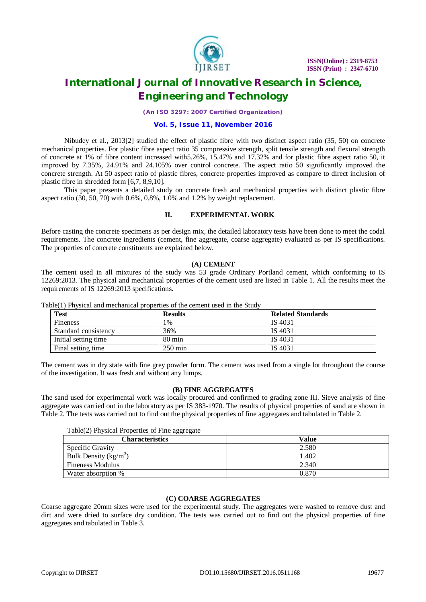

*(An ISO 3297: 2007 Certified Organization)*

#### **Vol. 5, Issue 11, November 2016**

 Nibudey et al., 2013[2] studied the effect of plastic fibre with two distinct aspect ratio (35, 50) on concrete mechanical properties. For plastic fibre aspect ratio 35 compressive strength, split tensile strength and flexural strength of concrete at 1% of fibre content increased with5.26%, 15.47% and 17.32% and for plastic fibre aspect ratio 50, it improved by 7.35%, 24.91% and 24.105% over control concrete. The aspect ratio 50 significantly improved the concrete strength. At 50 aspect ratio of plastic fibres, concrete properties improved as compare to direct inclusion of plastic fibre in shredded form [6,7, 8,9,10].

 This paper presents a detailed study on concrete fresh and mechanical properties with distinct plastic fibre aspect ratio (30, 50, 70) with 0.6%, 0.8%, 1.0% and 1.2% by weight replacement.

#### **II. EXPERIMENTAL WORK**

Before casting the concrete specimens as per design mix, the detailed laboratory tests have been done to meet the codal requirements. The concrete ingredients (cement, fine aggregate, coarse aggregate) evaluated as per IS specifications. The properties of concrete constituents are explained below.

#### **(A) CEMENT**

The cement used in all mixtures of the study was 53 grade Ordinary Portland cement, which conforming to IS 12269:2013. The physical and mechanical properties of the cement used are listed in Table 1. All the results meet the requirements of IS 12269:2013 specifications.

| <b>Test</b>          | <b>Results</b>       | <b>Related Standards</b> |
|----------------------|----------------------|--------------------------|
| Fineness             | 1%                   | IS 4031                  |
| Standard consistency | 36%                  | IS 4031                  |
| Initial setting time | $80 \text{ min}$     | IS 4031                  |
| Final setting time   | $250 \,\mathrm{min}$ | IS 4031                  |

Table(1) Physical and mechanical properties of the cement used in the Study

The cement was in dry state with fine grey powder form. The cement was used from a single lot throughout the course of the investigation. It was fresh and without any lumps.

#### **(B) FINE AGGREGATES**

The sand used for experimental work was locally procured and confirmed to grading zone III. Sieve analysis of fine aggregate was carried out in the laboratory as per IS 383-1970. The results of physical properties of sand are shown in Table 2. The tests was carried out to find out the physical properties of fine aggregates and tabulated in Table 2.

#### Table(2) Physical Properties of Fine aggregate

| <b>Characteristics</b>    | Value |
|---------------------------|-------|
| Specific Gravity          | 2.580 |
| Bulk Density ( $kg/m^3$ ) | .402  |
| <b>Fineness Modulus</b>   | 2.340 |
| Water absorption %        | 0.870 |

#### **(C) COARSE AGGREGATES**

Coarse aggregate 20mm sizes were used for the experimental study. The aggregates were washed to remove dust and dirt and were dried to surface dry condition. The tests was carried out to find out the physical properties of fine aggregates and tabulated in Table 3.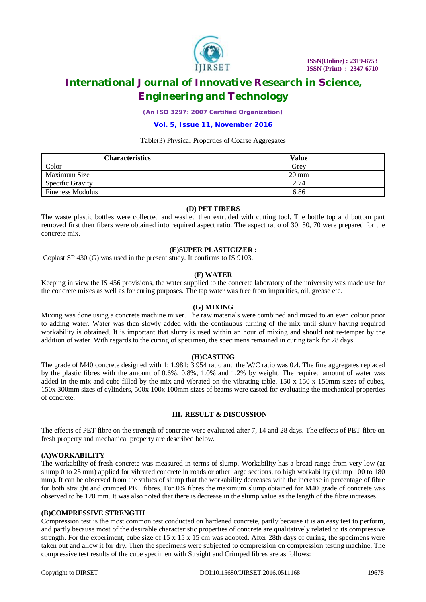

*(An ISO 3297: 2007 Certified Organization)*

#### **Vol. 5, Issue 11, November 2016**

#### Table(3) Physical Properties of Coarse Aggregates

| <b>Characteristics</b>  | Value           |
|-------------------------|-----------------|
| Color                   | Grev            |
| Maximum Size            | $20 \text{ mm}$ |
| <b>Specific Gravity</b> | 2.74            |
| <b>Fineness Modulus</b> | 6.86            |

#### **(D) PET FIBERS**

The waste plastic bottles were collected and washed then extruded with cutting tool. The bottle top and bottom part removed first then fibers were obtained into required aspect ratio. The aspect ratio of 30, 50, 70 were prepared for the concrete mix.

#### **(E)SUPER PLASTICIZER :**

Coplast SP 430 (G) was used in the present study. It confirms to IS 9103.

#### **(F) WATER**

Keeping in view the IS 456 provisions, the water supplied to the concrete laboratory of the university was made use for the concrete mixes as well as for curing purposes. The tap water was free from impurities, oil, grease etc.

#### **(G) MIXING**

Mixing was done using a concrete machine mixer. The raw materials were combined and mixed to an even colour prior to adding water. Water was then slowly added with the continuous turning of the mix until slurry having required workability is obtained. It is important that slurry is used within an hour of mixing and should not re-temper by the addition of water. With regards to the curing of specimen, the specimens remained in curing tank for 28 days.

#### **(H)CASTING**

The grade of M40 concrete designed with 1: 1.981: 3.954 ratio and the W/C ratio was 0.4. The fine aggregates replaced by the plastic fibres with the amount of 0.6%, 0.8%, 1.0% and 1.2% by weight. The required amount of water was added in the mix and cube filled by the mix and vibrated on the vibrating table.  $150 \times 150 \times 150$  mm sizes of cubes, 150x 300mm sizes of cylinders, 500x 100x 100mm sizes of beams were casted for evaluating the mechanical properties of concrete.

### **III. RESULT & DISCUSSION**

The effects of PET fibre on the strength of concrete were evaluated after 7, 14 and 28 days. The effects of PET fibre on fresh property and mechanical property are described below.

### **(A)WORKABILITY**

The workability of fresh concrete was measured in terms of slump. Workability has a broad range from very low (at slump 0 to 25 mm) applied for vibrated concrete in roads or other large sections, to high workability (slump 100 to 180 mm). It can be observed from the values of slump that the workability decreases with the increase in percentage of fibre for both straight and crimped PET fibres. For 0% fibres the maximum slump obtained for M40 grade of concrete was observed to be 120 mm. It was also noted that there is decrease in the slump value as the length of the fibre increases.

#### **(B)COMPRESSIVE STRENGTH**

Compression test is the most common test conducted on hardened concrete, partly because it is an easy test to perform, and partly because most of the desirable characteristic properties of concrete are qualitatively related to its compressive strength. For the experiment, cube size of  $15 \times 15 \times 15$  cm was adopted. After 28th days of curing, the specimens were taken out and allow it for dry. Then the specimens were subjected to compression on compression testing machine. The compressive test results of the cube specimen with Straight and Crimped fibres are as follows: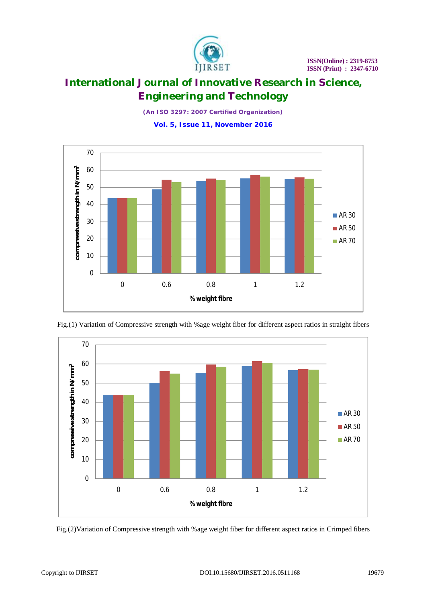

*(An ISO 3297: 2007 Certified Organization)* **Vol. 5, Issue 11, November 2016**





Fig.(1) Variation of Compressive strength with %age weight fiber for different aspect ratios in straight fibers

Fig.(2)Variation of Compressive strength with %age weight fiber for different aspect ratios in Crimped fibers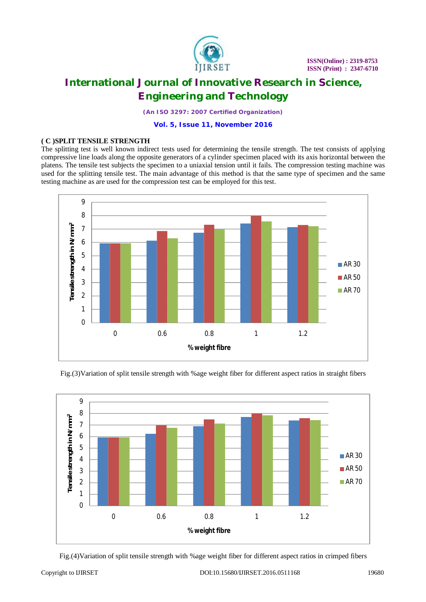

*(An ISO 3297: 2007 Certified Organization)*

**Vol. 5, Issue 11, November 2016**

### **( C )SPLIT TENSILE STRENGTH**

The splitting test is well known indirect tests used for determining the tensile strength. The test consists of applying compressive line loads along the opposite generators of a cylinder specimen placed with its axis horizontal between the platens. The tensile test subjects the specimen to a uniaxial tension until it fails. The compression testing machine was used for the splitting tensile test. The main advantage of this method is that the same type of specimen and the same testing machine as are used for the compression test can be employed for this test.





Fig.(3)Variation of split tensile strength with %age weight fiber for different aspect ratios in straight fibers

Fig.(4)Variation of split tensile strength with %age weight fiber for different aspect ratios in crimped fibers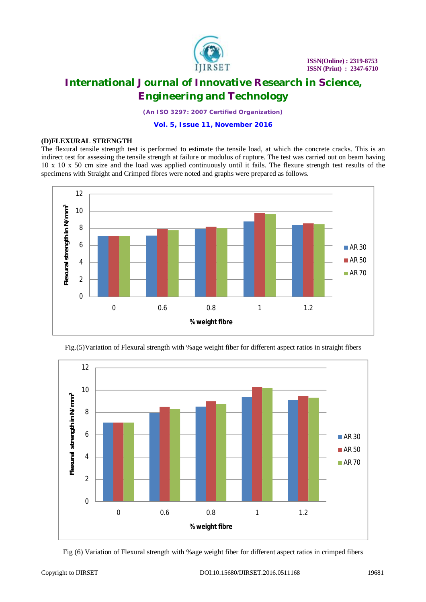

*(An ISO 3297: 2007 Certified Organization)*

**Vol. 5, Issue 11, November 2016**

### **(D)FLEXURAL STRENGTH**

The flexural tensile strength test is performed to estimate the tensile load, at which the concrete cracks. This is an indirect test for assessing the tensile strength at failure or modulus of rupture. The test was carried out on beam having 10 x 10 x 50 cm size and the load was applied continuously until it fails. The flexure strength test results of the specimens with Straight and Crimped fibres were noted and graphs were prepared as follows.





Fig.(5)Variation of Flexural strength with %age weight fiber for different aspect ratios in straight fibers

Fig (6) Variation of Flexural strength with %age weight fiber for different aspect ratios in crimped fibers